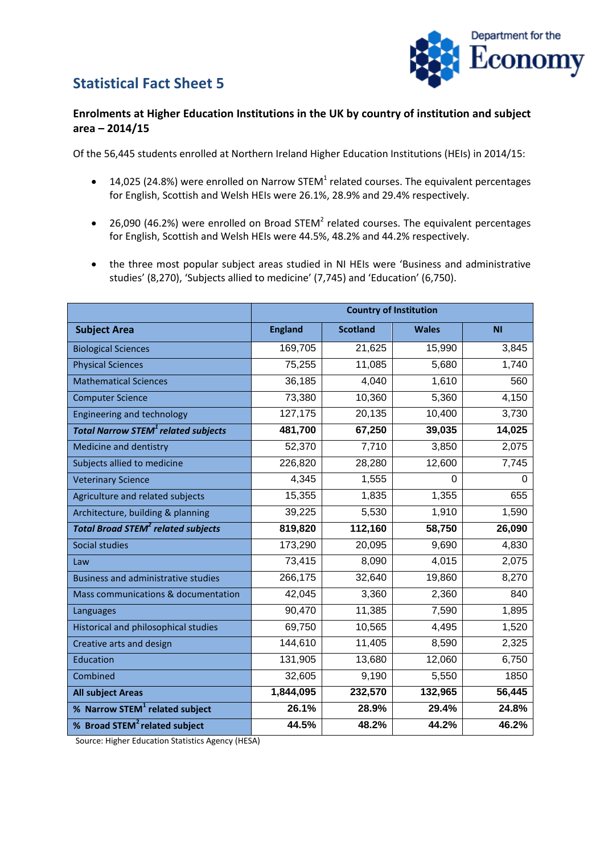## **Statistical Fact Sheet 5**



## **Enrolments at Higher Education Institutions in the UK by country of institution and subject area – 2014/15**

Of the 56,445 students enrolled at Northern Ireland Higher Education Institutions (HEIs) in 2014/15:

- 14,025 (24.8%) were enrolled on Narrow STEM<sup>1</sup> related courses. The equivalent percentages for English, Scottish and Welsh HEIs were 26.1%, 28.9% and 29.4% respectively.
- 26,090 (46.2%) were enrolled on Broad STEM<sup>2</sup> related courses. The equivalent percentages for English, Scottish and Welsh HEIs were 44.5%, 48.2% and 44.2% respectively.
- the three most popular subject areas studied in NI HEIs were 'Business and administrative studies' (8,270), 'Subjects allied to medicine' (7,745) and 'Education' (6,750).

|                                                       | <b>Country of Institution</b> |                 |              |           |
|-------------------------------------------------------|-------------------------------|-----------------|--------------|-----------|
| <b>Subject Area</b>                                   | <b>England</b>                | <b>Scotland</b> | <b>Wales</b> | <b>NI</b> |
| <b>Biological Sciences</b>                            | 169,705                       | 21,625          | 15,990       | 3,845     |
| <b>Physical Sciences</b>                              | 75,255                        | 11,085          | 5,680        | 1,740     |
| <b>Mathematical Sciences</b>                          | 36,185                        | 4,040           | 1,610        | 560       |
| <b>Computer Science</b>                               | 73,380                        | 10,360          | 5,360        | 4,150     |
| <b>Engineering and technology</b>                     | 127,175                       | 20,135          | 10,400       | 3,730     |
| <b>Total Narrow STEM<sup>1</sup> related subjects</b> | 481,700                       | 67,250          | 39,035       | 14,025    |
| Medicine and dentistry                                | 52,370                        | 7,710           | 3,850        | 2,075     |
| Subjects allied to medicine                           | 226,820                       | 28,280          | 12,600       | 7,745     |
| <b>Veterinary Science</b>                             | 4,345                         | 1,555           | $\Omega$     | 0         |
| Agriculture and related subjects                      | 15,355                        | 1,835           | 1,355        | 655       |
| Architecture, building & planning                     | 39,225                        | 5,530           | 1,910        | 1,590     |
| <b>Total Broad STEM<sup>2</sup> related subjects</b>  | 819,820                       | 112,160         | 58,750       | 26,090    |
| Social studies                                        | 173,290                       | 20,095          | 9,690        | 4,830     |
| Law                                                   | 73,415                        | 8,090           | 4,015        | 2,075     |
| <b>Business and administrative studies</b>            | 266,175                       | 32,640          | 19,860       | 8,270     |
| Mass communications & documentation                   | 42,045                        | 3,360           | 2,360        | 840       |
| Languages                                             | 90,470                        | 11,385          | 7,590        | 1,895     |
| Historical and philosophical studies                  | 69,750                        | 10,565          | 4,495        | 1,520     |
| Creative arts and design                              | 144,610                       | 11,405          | 8,590        | 2,325     |
| Education                                             | 131,905                       | 13,680          | 12,060       | 6,750     |
| Combined                                              | 32,605                        | 9,190           | 5,550        | 1850      |
| <b>All subject Areas</b>                              | 1,844,095                     | 232,570         | 132,965      | 56,445    |
| % Narrow STEM <sup>1</sup> related subject            | 26.1%                         | 28.9%           | 29.4%        | 24.8%     |
| % Broad STEM <sup>2</sup> related subject             | 44.5%                         | 48.2%           | 44.2%        | 46.2%     |

Source: Higher Education Statistics Agency (HESA)